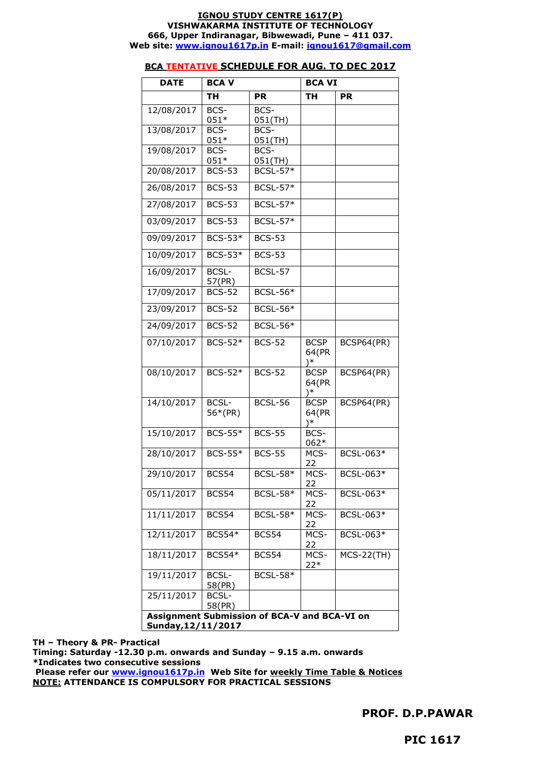#### **IGNOU STUDY CENTRE 1617(P) VISHWAKARMA INSTITUTE OF TECHNOLOGY 666, Upper Indiranagar, Bibwewadi, Pune – 411 037. Web site: [www.ignou1617p.in](http://www.ignou1617p.in/) E-mail: [ignou1617@gmail.com](mailto:ignou1617@gmail.com)**

## **BCA TENTATIVE SCHEDULE FOR AUG. TO DEC 2017**

| <b>DATE</b> | <b>BCAV</b>                                                        |                               | <b>BCA VI</b>                 |              |  |  |
|-------------|--------------------------------------------------------------------|-------------------------------|-------------------------------|--------------|--|--|
|             | TН                                                                 | <b>PR</b>                     | ΤН                            | <b>PR</b>    |  |  |
| 12/08/2017  | BCS-<br>$051*$                                                     | BCS-<br>051(TH)               |                               |              |  |  |
| 13/08/2017  | BCS-<br>051*                                                       | BCS-                          |                               |              |  |  |
| 19/08/2017  | BCS-                                                               | 051(TH)<br>BCS-               |                               |              |  |  |
| 20/08/2017  | $051*$<br><b>BCS-53</b>                                            | $051$ (TH)<br><b>BCSL-57*</b> |                               |              |  |  |
| 26/08/2017  | <b>BCS-53</b>                                                      | <b>BCSL-57*</b>               |                               |              |  |  |
| 27/08/2017  | <b>BCS-53</b>                                                      | <b>BCSL-57*</b>               |                               |              |  |  |
| 03/09/2017  | <b>BCS-53</b>                                                      | <b>BCSL-57*</b>               |                               |              |  |  |
| 09/09/2017  | <b>BCS-53*</b>                                                     | <b>BCS-53</b>                 |                               |              |  |  |
| 10/09/2017  | BCS-53*                                                            | <b>BCS-53</b>                 |                               |              |  |  |
| 16/09/2017  | <b>BCSL-</b><br>57(PR)                                             | BCSL-57                       |                               |              |  |  |
| 17/09/2017  | $BCS-52$                                                           | <b>BCSL-56*</b>               |                               |              |  |  |
| 23/09/2017  | <b>BCS-52</b>                                                      | <b>BCSL-56*</b>               |                               |              |  |  |
| 24/09/2017  | <b>BCS-52</b>                                                      | <b>BCSL-56*</b>               |                               |              |  |  |
| 07/10/2017  | BCS-52*                                                            | <b>BCS-52</b>                 | <b>BCSP</b><br>64(PR<br>)*    | BCSP64(PR)   |  |  |
| 08/10/2017  | $BCS-52*$                                                          | $BCS-52$                      | <b>BCSP</b><br>64(PR<br>$)$ * | BCSP64(PR)   |  |  |
| 14/10/2017  | <b>BCSL-</b><br>56*(PR)                                            | $BCSL-56$                     | BCSP<br>64(PR<br>)∗           | BCSP64(PR)   |  |  |
| 15/10/2017  | BCS-55*                                                            | <b>BCS-55</b>                 | BCS-<br>062*                  |              |  |  |
| 28/10/2017  | <b>BCS-55*</b>                                                     | <b>BCS-55</b>                 | MCS-<br>22                    | BCSL-063*    |  |  |
| 29/10/2017  | BCS54                                                              | <b>BCSL-58*</b>               | MCS-<br>22                    | BCSL-063*    |  |  |
| 05/11/2017  | BCS54                                                              | <b>BCSL-58*</b>               | MCS-<br>22                    | BCSL-063*    |  |  |
| 11/11/2017  | BCS54                                                              | $BCSL-58*$                    | MCS-<br>22                    | BCSL-063*    |  |  |
| 12/11/2017  | <b>BCS54*</b>                                                      | BCS54                         | MCS-<br>22                    | BCSL-063*    |  |  |
| 18/11/2017  | <b>BCS54*</b>                                                      | BCS54                         | MCS-<br>$22*$                 | $MCS-22(TH)$ |  |  |
| 19/11/2017  | <b>BCSL-</b><br>58(PR)                                             | <b>BCSL-58*</b>               |                               |              |  |  |
| 25/11/2017  | <b>BCSL-</b><br>58(PR)                                             |                               |                               |              |  |  |
|             | Assignment Submission of BCA-V and BCA-VI on<br>Sunday, 12/11/2017 |                               |                               |              |  |  |

**TH – Theory & PR- Practical** 

**Timing: Saturday -12.30 p.m. onwards and Sunday – 9.15 a.m. onwards \*Indicates two consecutive sessions**

**Please refer our [www.ignou1617p.in](http://www.ignou1617p.in/) Web Site for weekly Time Table & Notices NOTE: ATTENDANCE IS COMPULSORY FOR PRACTICAL SESSIONS**

**PROF. D.P.PAWAR**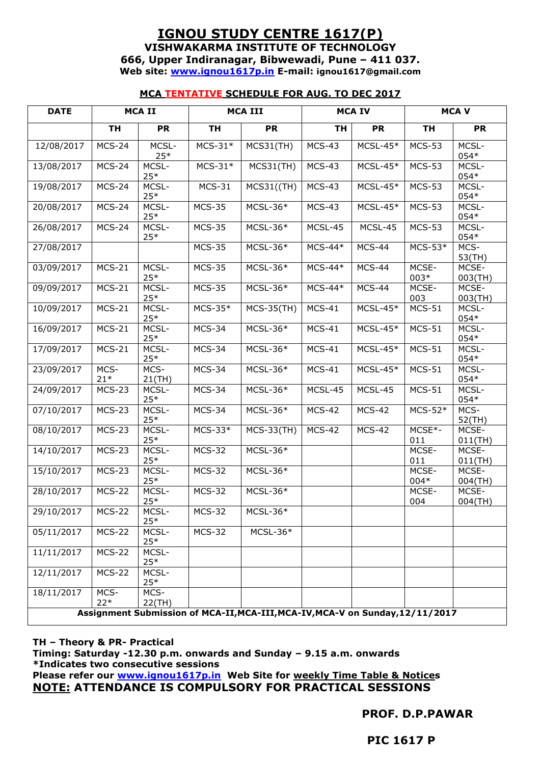# **IGNOU STUDY CENTRE 1617(P) VISHWAKARMA INSTITUTE OF TECHNOLOGY 666, Upper Indiranagar, Bibwewadi, Pune – 411 037. Web site: [www.ignou1617p.in](http://www.ignou1617p.in/) E-mail: ignou1617@gmail.com**

## **MCA TENTATIVE SCHEDULE FOR AUG. TO DEC 2017**

| <b>DATE</b> |                      | MCA II         |               | <b>MCA III</b>                                                                |               | <b>MCAIV</b>  |               | <b>MCAV</b>         |
|-------------|----------------------|----------------|---------------|-------------------------------------------------------------------------------|---------------|---------------|---------------|---------------------|
|             | <b>TH</b>            | <b>PR</b>      | <b>TH</b>     | <b>PR</b>                                                                     | <b>TH</b>     | <b>PR</b>     | <b>TH</b>     | <b>PR</b>           |
| 12/08/2017  | MCS-24               | MCSL-<br>$25*$ | $MCS-31*$     | MCS31(TH)                                                                     | $MCS-43$      | $MCSL-45*$    | <b>MCS-53</b> | MCSL-<br>054*       |
| 13/08/2017  | $MCS-24$             | MCSL-<br>$25*$ | $MCS-31*$     | MCS31(TH)                                                                     | $MCS-43$      | $MCSL-45*$    | <b>MCS-53</b> | MCSL-<br>054*       |
| 19/08/2017  | MCS-24               | MCSL-<br>$25*$ | $MCS-31$      | MCS31((TH)                                                                    | $MCS-43$      | $MCSL-45*$    | <b>MCS-53</b> | MCSL-<br>054*       |
| 20/08/2017  | $\overline{MC}$ S-24 | MCSL-<br>$25*$ | <b>MCS-35</b> | $MCSL-36*$                                                                    | $MCS-43$      | $MCSL-45*$    | <b>MCS-53</b> | MCSL-<br>054*       |
| 26/08/2017  | $MCS-24$             | MCSL-<br>$25*$ | <b>MCS-35</b> | $MCSL-36*$                                                                    | MCSL-45       | MCSL-45       | <b>MCS-53</b> | MCSL-<br>054*       |
| 27/08/2017  |                      |                | <b>MCS-35</b> | MCSL-36*                                                                      | $MCS-44*$     | MCS-44        | $MCS-53*$     | MCS-<br>53(TH)      |
| 03/09/2017  | $MCS-21$             | MCSL-<br>$25*$ | <b>MCS-35</b> | $MCSL-36*$                                                                    | $MCS-44*$     | MCS-44        | MCSE-<br>003* | MCSE-<br>003(TH)    |
| 09/09/2017  | $MCS-21$             | MCSL-<br>$25*$ | <b>MCS-35</b> | $MCSL-36*$                                                                    | $MCS-44*$     | MCS-44        | MCSE-<br>003  | MCSE-<br>003(TH)    |
| 10/09/2017  | $MCS-21$             | MCSL-<br>$25*$ | $MCS-35*$     | <b>MCS-35(TH)</b>                                                             | $MCS-41$      | $MCSL-45*$    | $MCS-51$      | MCSL-<br>054*       |
| 16/09/2017  | $MCS-21$             | MCSL-<br>$25*$ | <b>MCS-34</b> | $MCSL-36*$                                                                    | $MCS-41$      | $MCSL-45*$    | $MCS-51$      | MCSL-<br>054*       |
| 17/09/2017  | $\overline{MCS-21}$  | MCSL-<br>$25*$ | MCS-34        | $MCSL-36*$                                                                    | $MCS-41$      | $MCSL-45*$    | $MCS-51$      | MCSL-<br>054*       |
| 23/09/2017  | MCS-<br>$21*$        | MCS-<br>21(TH) | MCS-34        | $MCSL-36*$                                                                    | $MCS-41$      | $MCSL-45*$    | $MCS-51$      | MCSL-<br>054*       |
| 24/09/2017  | $MCS-23$             | MCSL-<br>$25*$ | $MCS-34$      | $MCSL-36*$                                                                    | MCSL-45       | MCSL-45       | $MCS-51$      | MCSL-<br>$054*$     |
| 07/10/2017  | <b>MCS-23</b>        | MCSL-<br>$25*$ | $MCS-34$      | $MCSL-36*$                                                                    | <b>MCS-42</b> | <b>MCS-42</b> | $MCS-52*$     | MCS-<br>52(TH)      |
| 08/10/2017  | $MCS-23$             | MCSL-<br>$25*$ | $MCS-33*$     | <b>MCS-33(TH)</b>                                                             | <b>MCS-42</b> | <b>MCS-42</b> | MCSE*-<br>011 | MCSE-<br>$011$ (TH) |
| 14/10/2017  | $\overline{MCS-23}$  | MCSL-<br>$25*$ | <b>MCS-32</b> | $MCSL-36*$                                                                    |               |               | MCSE-<br>011  | MCSE-<br>$011$ (TH) |
| 15/10/2017  | $MCS-23$             | MCSL-<br>$25*$ | <b>MCS-32</b> | $MCSL-36*$                                                                    |               |               | MCSE-<br>004* | MCSE-<br>004(TH)    |
| 28/10/2017  | <b>MCS-22</b>        | MCSL-<br>$25*$ | <b>MCS-32</b> | $MCSL-36*$                                                                    |               |               | MCSE-<br>004  | MCSE-<br>$004$ (TH) |
| 29/10/2017  | $MCS-22$             | MCSL-<br>$25*$ | <b>MCS-32</b> | $MCSL-36*$                                                                    |               |               |               |                     |
| 05/11/2017  | <b>MCS-22</b>        | MCSL-<br>$25*$ | <b>MCS-32</b> | $MCSL-36*$                                                                    |               |               |               |                     |
| 11/11/2017  | <b>MCS-22</b>        | MCSL-<br>$25*$ |               |                                                                               |               |               |               |                     |
| 12/11/2017  | <b>MCS-22</b>        | MCSL-<br>$25*$ |               |                                                                               |               |               |               |                     |
| 18/11/2017  | MCS-<br>$22*$        | MCS-<br>22(TH) |               |                                                                               |               |               |               |                     |
|             |                      |                |               | Assignment Submission of MCA-II, MCA-III, MCA-IV, MCA-V on Sunday, 12/11/2017 |               |               |               |                     |

### **TH – Theory & PR- Practical**

**Timing: Saturday -12.30 p.m. onwards and Sunday – 9.15 a.m. onwards \*Indicates two consecutive sessions**

**Please refer our [www.ignou1617p.in](http://www.ignou1617p.in/) Web Site for weekly Time Table & Notices NOTE: ATTENDANCE IS COMPULSORY FOR PRACTICAL SESSIONS**

**PROF. D.P.PAWAR**